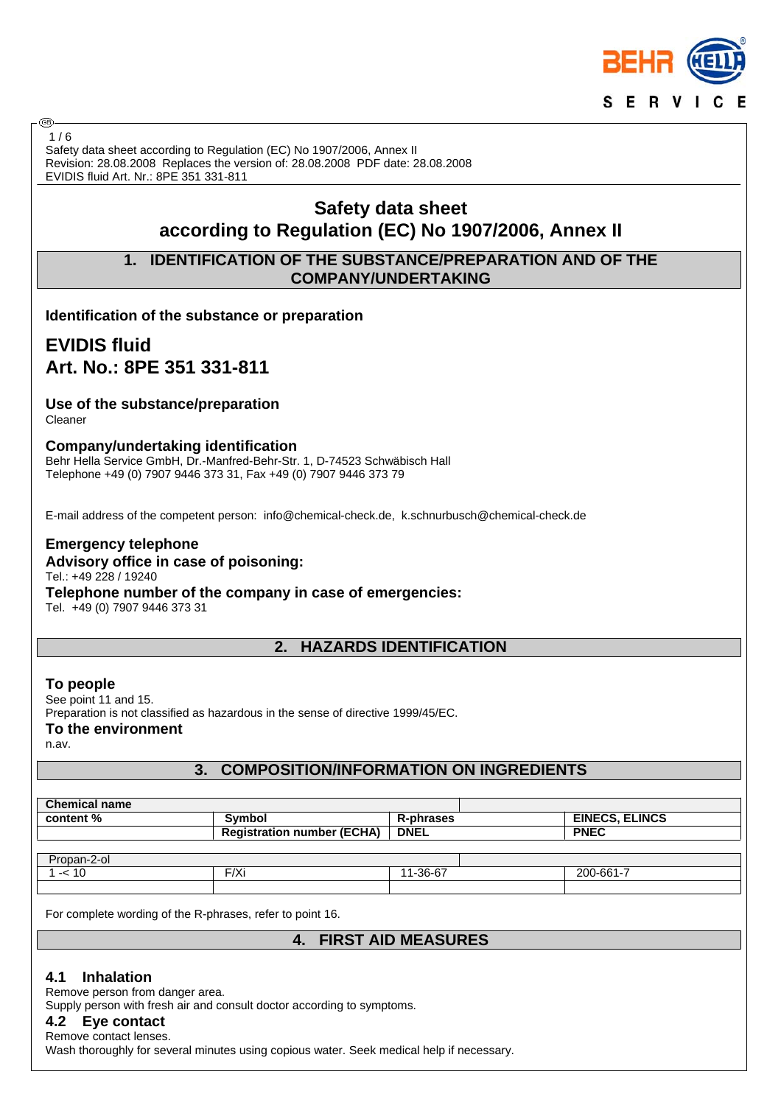

Safety data sheet according to Regulation (EC) No 1907/2006, Annex II Revision: 28.08.2008 Replaces the version of: 28.08.2008 PDF date: 28.08.2008 EVIDIS fluid Art. Nr.: 8PE 351 331-811  $1/6$ 

# **Safety data sheet according to Regulation (EC) No 1907/2006, Annex II**

## **1. IDENTIFICATION OF THE SUBSTANCE/PREPARATION AND OF THE COMPANY/UNDERTAKING**

**Identification of the substance or preparation**

# **EVIDIS fluid Art. No.: 8PE 351 331-811**

#### **Use of the substance/preparation** Cleaner

അ

#### **Company/undertaking identification**

Behr Hella Service GmbH, Dr.-Manfred-Behr-Str. 1, D-74523 Schwäbisch Hall Telephone +49 (0) 7907 9446 373 31, Fax +49 (0) 7907 9446 373 79

E-mail address of the competent person: info@chemical-check.de, k.schnurbusch@chemical-check.de

#### **Emergency telephone Advisory office in case of poisoning:** Tel.: +49 228 / 19240 **Telephone number of the company in case of emergencies:** Tel. +49 (0) 7907 9446 373 31

**2. HAZARDS IDENTIFICATION**

#### **To people** See point 11 and 15. Preparation is not classified as hazardous in the sense of directive 1999/45/EC. **To the environment** n.av.

### **3. COMPOSITION/INFORMATION ON INGREDIENTS**

| <b>Chemical name</b> |                                   |             |                       |  |  |
|----------------------|-----------------------------------|-------------|-----------------------|--|--|
| content %            | <b>Symbol</b>                     | R-phrases   | <b>EINECS, ELINCS</b> |  |  |
|                      | <b>Registration number (ECHA)</b> | <b>DNEL</b> | <b>PNEC</b>           |  |  |
|                      |                                   |             |                       |  |  |
| Propan-2-ol          |                                   |             |                       |  |  |
| $1 - 10$             | F/Xi                              | 11-36-67    | 200-661-7             |  |  |
|                      |                                   |             |                       |  |  |

For complete wording of the R-phrases, refer to point 16.

## **4. FIRST AID MEASURES**

### **4.1 Inhalation**

Remove person from danger area.

Supply person with fresh air and consult doctor according to symptoms.

### **4.2 Eye contact**

Remove contact lenses. Wash thoroughly for several minutes using copious water. Seek medical help if necessary.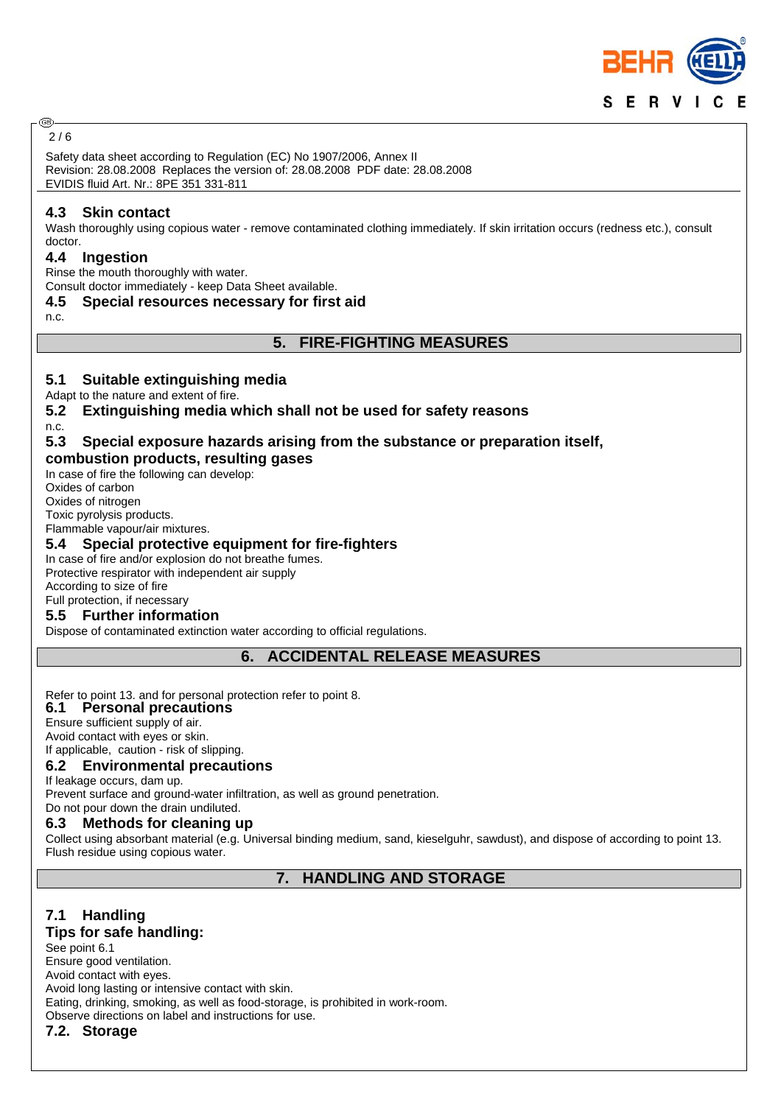

#### അ 2 / 6

Safety data sheet according to Regulation (EC) No 1907/2006, Annex II Revision: 28.08.2008 Replaces the version of: 28.08.2008 PDF date: 28.08.2008 EVIDIS fluid Art. Nr.: 8PE 351 331-811

#### **4.3 Skin contact**

Wash thoroughly using copious water - remove contaminated clothing immediately. If skin irritation occurs (redness etc.), consult doctor.

#### **4.4 Ingestion**

Rinse the mouth thoroughly with water.

Consult doctor immediately - keep Data Sheet available.

#### **4.5 Special resources necessary for first aid**

n.c.

#### **5. FIRE-FIGHTING MEASURES**

#### **5.1 Suitable extinguishing media**

Adapt to the nature and extent of fire.

**5.2 Extinguishing media which shall not be used for safety reasons**

#### n.c. **5.3 Special exposure hazards arising from the substance or preparation itself,**

# **combustion products, resulting gases**

In case of fire the following can develop: Oxides of carbon Oxides of nitrogen Toxic pyrolysis products.

Flammable vapour/air mixtures.

#### **5.4 Special protective equipment for fire-fighters**

In case of fire and/or explosion do not breathe fumes. Protective respirator with independent air supply

According to size of fire

# Full protection, if necessary

**5.5 Further information**

Dispose of contaminated extinction water according to official regulations.

**6. ACCIDENTAL RELEASE MEASURES**

#### Refer to point 13. and for personal protection refer to point 8.

**6.1 Personal precautions**

Ensure sufficient supply of air.

Avoid contact with eyes or skin.

If applicable, caution - risk of slipping.

## **6.2 Environmental precautions**

If leakage occurs, dam up.

Prevent surface and ground-water infiltration, as well as ground penetration. Do not pour down the drain undiluted.

### **6.3 Methods for cleaning up**

Collect using absorbant material (e.g. Universal binding medium, sand, kieselguhr, sawdust), and dispose of according to point 13. Flush residue using copious water.

**7. HANDLING AND STORAGE**

### **7.1 Handling**

### **Tips for safe handling:**

See point 6.1 Ensure good ventilation. Avoid contact with eyes. Avoid long lasting or intensive contact with skin. Eating, drinking, smoking, as well as food-storage, is prohibited in work-room. Observe directions on label and instructions for use.

**7.2. Storage**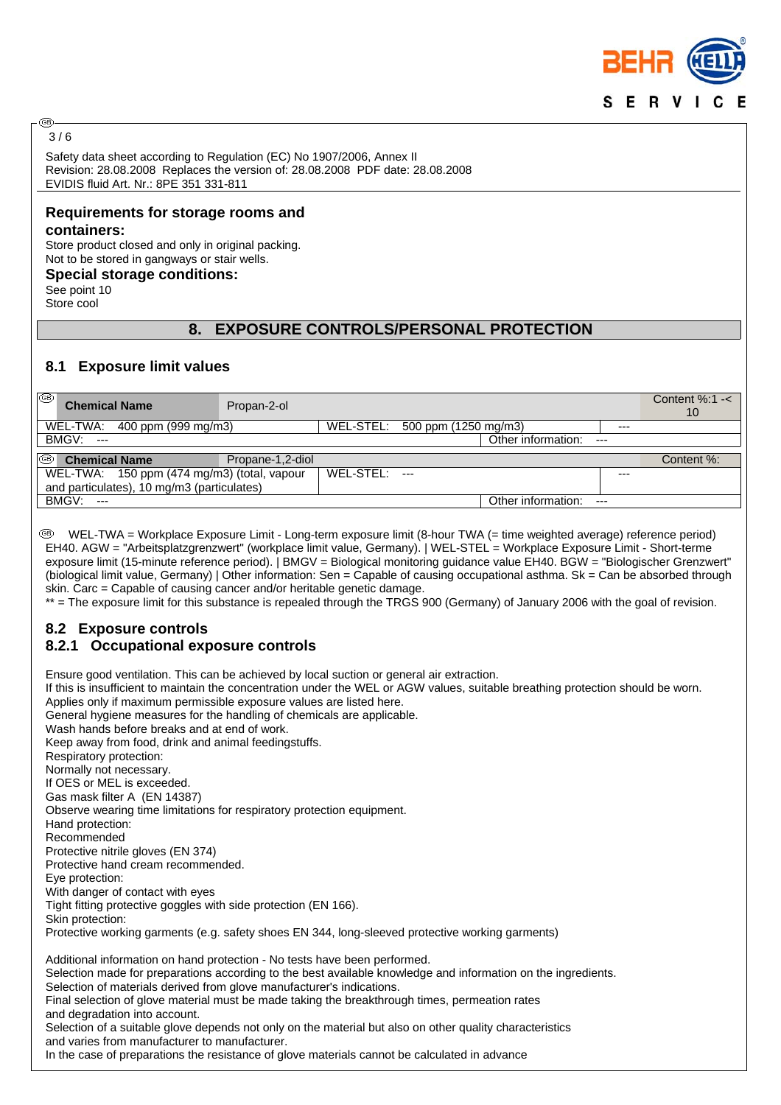

#### അ  $3/6$

Safety data sheet according to Regulation (EC) No 1907/2006, Annex II Revision: 28.08.2008 Replaces the version of: 28.08.2008 PDF date: 28.08.2008 EVIDIS fluid Art. Nr.: 8PE 351 331-811

# **Requirements for storage rooms and**

#### **containers:**

Store product closed and only in original packing. Not to be stored in gangways or stair wells.

**Special storage conditions:**

See point 10 Store cool

### **8. EXPOSURE CONTROLS/PERSONAL PROTECTION**

### **8.1 Exposure limit values**

| ⊛<br><b>Chemical Name</b>                   | Propan-2-ol      |           |                                |                    |       | Content $%:1 -<$<br>10 |
|---------------------------------------------|------------------|-----------|--------------------------------|--------------------|-------|------------------------|
| WEL-TWA: 400 ppm (999 mg/m3)                |                  |           | WEL-STEL: 500 ppm (1250 mg/m3) |                    | $---$ |                        |
| <b>BMGV: ---</b>                            |                  |           |                                | Other information: | $---$ |                        |
| $\circledcirc$  <br><b>Chemical Name</b>    | Propane-1,2-diol |           |                                |                    |       | Content %:             |
| WEL-TWA: 150 ppm (474 mg/m3) (total, vapour |                  | WEL-STEL: | $- - -$                        |                    | ---   |                        |
| and particulates), 10 mg/m3 (particulates)  |                  |           |                                |                    |       |                        |
| <b>BMGV: ---</b>                            |                  |           |                                | Other information: | $---$ |                        |

 WEL-TWA = Workplace Exposure Limit - Long-term exposure limit (8-hour TWA (= time weighted average) reference period) EH40. AGW = "Arbeitsplatzgrenzwert" (workplace limit value, Germany). | WEL-STEL = Workplace Exposure Limit - Short-terme exposure limit (15-minute reference period). | BMGV = Biological monitoring guidance value EH40. BGW = "Biologischer Grenzwert" (biological limit value, Germany) | Other information: Sen = Capable of causing occupational asthma. Sk = Can be absorbed through skin. Carc = Capable of causing cancer and/or heritable genetic damage.

\*\* = The exposure limit for this substance is repealed through the TRGS 900 (Germany) of January 2006 with the goal of revision.

## **8.2 Exposure controls**

### **8.2.1 Occupational exposure controls**

Ensure good ventilation. This can be achieved by local suction or general air extraction. If this is insufficient to maintain the concentration under the WEL or AGW values, suitable breathing protection should be worn. Applies only if maximum permissible exposure values are listed here. General hygiene measures for the handling of chemicals are applicable. Wash hands before breaks and at end of work. Keep away from food, drink and animal feedingstuffs. Respiratory protection: Normally not necessary. If OES or MEL is exceeded. Gas mask filter A (EN 14387) Observe wearing time limitations for respiratory protection equipment. Hand protection: Recommended Protective nitrile gloves (EN 374) Protective hand cream recommended. Eye protection: With danger of contact with eyes Tight fitting protective goggles with side protection (EN 166). Skin protection: Protective working garments (e.g. safety shoes EN 344, long-sleeved protective working garments) Additional information on hand protection - No tests have been performed. Selection made for preparations according to the best available knowledge and information on the ingredients. Selection of materials derived from glove manufacturer's indications. Final selection of glove material must be made taking the breakthrough times, permeation rates and degradation into account. Selection of a suitable glove depends not only on the material but also on other quality characteristics and varies from manufacturer to manufacturer. In the case of preparations the resistance of glove materials cannot be calculated in advance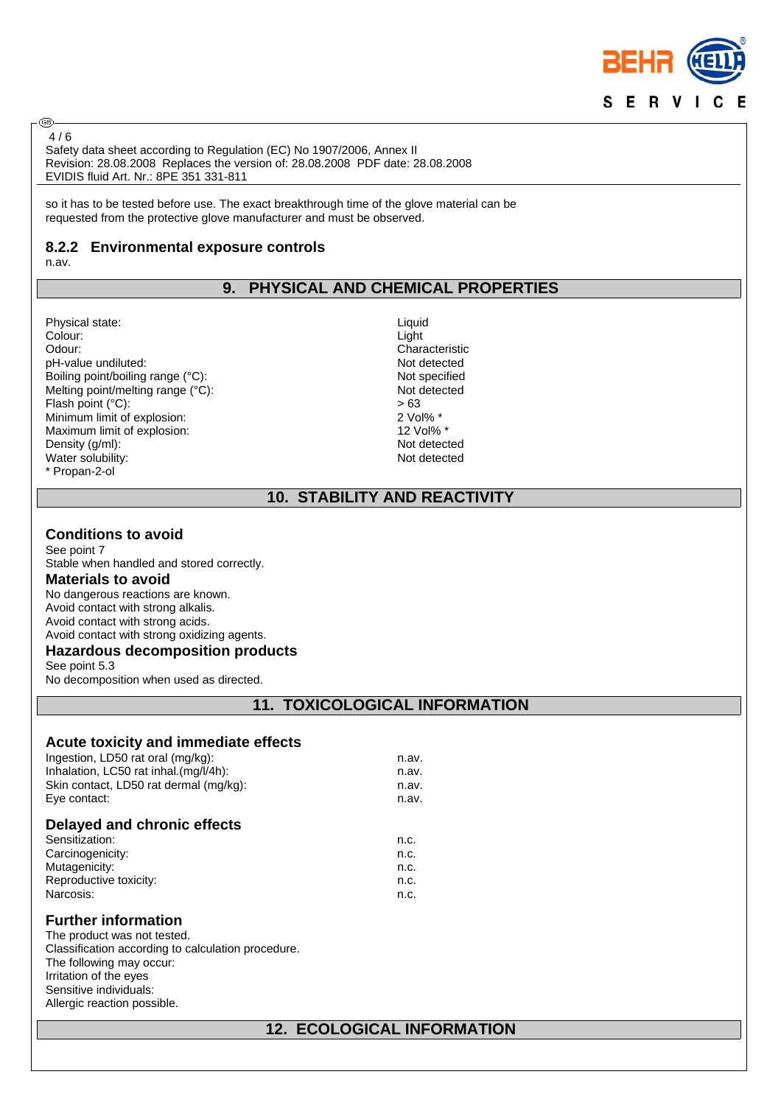

Safety data sheet according to Regulation (EC) No 1907/2006, Annex II Revision: 28.08.2008 Replaces the version of: 28.08.2008 PDF date: 28.08.2008 EVIDIS fluid Art. Nr.: 8PE 351 331-811  $4/6$ 

so it has to be tested before use. The exact breakthrough time of the glove material can be requested from the protective glove manufacturer and must be observed.

#### **8.2.2 Environmental exposure controls**

n.av.

⊛

## **9. PHYSICAL AND CHEMICAL PROPERTIES**

Physical state: Liquid<br>Colour: Liquid Colour: Liquid Colour: Colour: Light Odour: Characteristic pH-value undiluted: Not detected Boiling point/boiling range (°C): Not specified Melting point/melting range (°C): Not detected Flash point (°C):  $> 63$ <br>
Minimum limit of explosion:  $> 2$  Vol% \* Minimum limit of explosion: 2 Vol% \* 2 Vol% \* 2 Vol% \* 2 Vol% \* 2 Vol% \* 2 Vol% \* Maximum limit of explosion: Density (g/ml):<br>
Water solubility:<br>
Water solubility:<br>
Not detected Water solubility: \* Propan-2-ol

## **10. STABILITY AND REACTIVITY**

#### **Conditions to avoid**

See point 7 Stable when handled and stored correctly. **Materials to avoid** No dangerous reactions are known. Avoid contact with strong alkalis. Avoid contact with strong acids. Avoid contact with strong oxidizing agents. **Hazardous decomposition products**

See point 5.3 No decomposition when used as directed.

## **11. TOXICOLOGICAL INFORMATION**

#### **Acute toxicity and immediate effects**

| Delayed and chronic effects            |       |
|----------------------------------------|-------|
| Eye contact:                           | n.av. |
| Skin contact, LD50 rat dermal (mg/kg): | n.av. |
| Inhalation, LC50 rat inhal.(mg/l/4h):  | n.av. |
| Ingestion, LD50 rat oral (mg/kg):      | n.av. |

| Sensitization:         | n.c. |
|------------------------|------|
| Carcinogenicity:       | n.c. |
| Mutagenicity:          | n.c. |
| Reproductive toxicity: | n.c. |
| Narcosis:              | n.c. |
|                        |      |

#### **Further information**

The product was not tested. Classification according to calculation procedure. The following may occur: Irritation of the eyes Sensitive individuals: Allergic reaction possible.

## **12. ECOLOGICAL INFORMATION**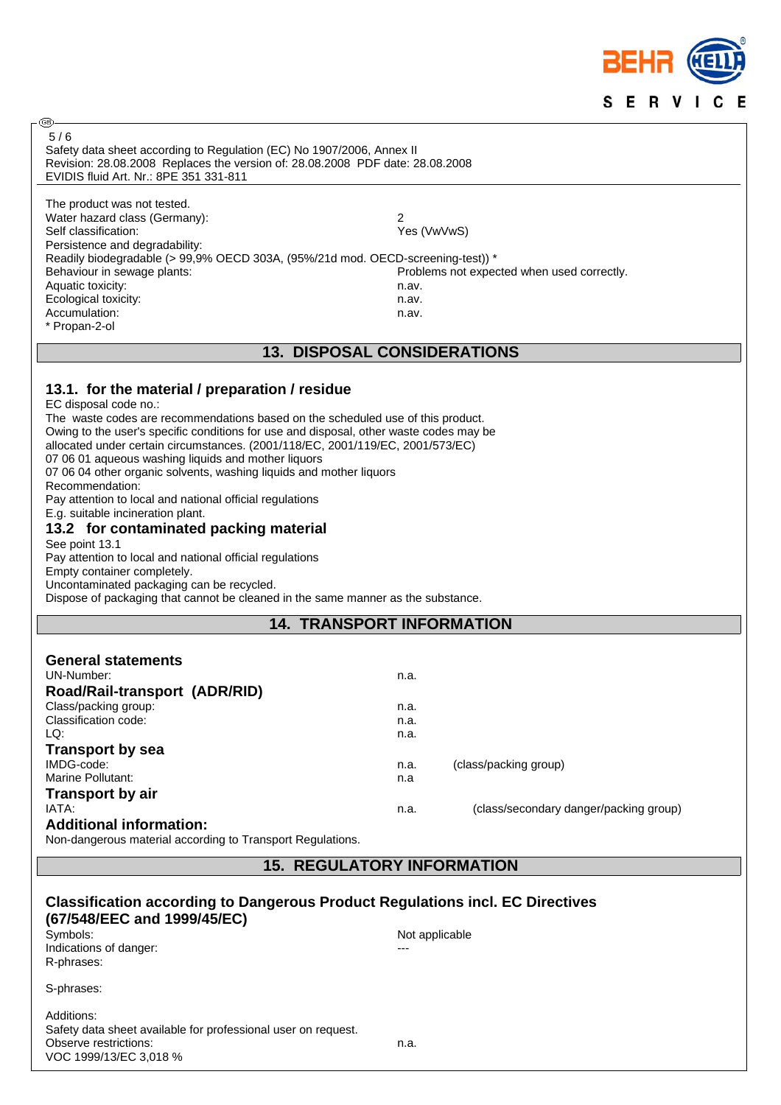

| ිeB                                                                                    |                |                                            |  |
|----------------------------------------------------------------------------------------|----------------|--------------------------------------------|--|
| 5/6                                                                                    |                |                                            |  |
| Safety data sheet according to Regulation (EC) No 1907/2006, Annex II                  |                |                                            |  |
| Revision: 28.08.2008 Replaces the version of: 28.08.2008 PDF date: 28.08.2008          |                |                                            |  |
| EVIDIS fluid Art. Nr.: 8PE 351 331-811                                                 |                |                                            |  |
|                                                                                        |                |                                            |  |
| The product was not tested.                                                            |                |                                            |  |
| Water hazard class (Germany):                                                          | 2              |                                            |  |
| Self classification:                                                                   | Yes (VwVwS)    |                                            |  |
| Persistence and degradability:                                                         |                |                                            |  |
| Readily biodegradable (> 99,9% OECD 303A, (95%/21d mod. OECD-screening-test)) *        |                |                                            |  |
| Behaviour in sewage plants:                                                            |                | Problems not expected when used correctly. |  |
| Aquatic toxicity:                                                                      | n.av.          |                                            |  |
| Ecological toxicity:                                                                   | n.av.          |                                            |  |
| Accumulation:                                                                          | n.av.          |                                            |  |
| * Propan-2-ol                                                                          |                |                                            |  |
|                                                                                        |                |                                            |  |
| <b>13. DISPOSAL CONSIDERATIONS</b>                                                     |                |                                            |  |
|                                                                                        |                |                                            |  |
|                                                                                        |                |                                            |  |
| 13.1. for the material / preparation / residue                                         |                |                                            |  |
| EC disposal code no.:                                                                  |                |                                            |  |
| The waste codes are recommendations based on the scheduled use of this product.        |                |                                            |  |
| Owing to the user's specific conditions for use and disposal, other waste codes may be |                |                                            |  |
|                                                                                        |                |                                            |  |
| allocated under certain circumstances. (2001/118/EC, 2001/119/EC, 2001/573/EC)         |                |                                            |  |
| 07 06 01 aqueous washing liquids and mother liquors                                    |                |                                            |  |
| 07 06 04 other organic solvents, washing liquids and mother liquors                    |                |                                            |  |
| Recommendation:                                                                        |                |                                            |  |
| Pay attention to local and national official regulations                               |                |                                            |  |
| E.g. suitable incineration plant.                                                      |                |                                            |  |
| 13.2 for contaminated packing material                                                 |                |                                            |  |
| See point 13.1                                                                         |                |                                            |  |
| Pay attention to local and national official regulations                               |                |                                            |  |
| Empty container completely.                                                            |                |                                            |  |
| Uncontaminated packaging can be recycled.                                              |                |                                            |  |
| Dispose of packaging that cannot be cleaned in the same manner as the substance.       |                |                                            |  |
|                                                                                        |                |                                            |  |
|                                                                                        |                |                                            |  |
| <b>14. TRANSPORT INFORMATION</b>                                                       |                |                                            |  |
|                                                                                        |                |                                            |  |
|                                                                                        |                |                                            |  |
| <b>General statements</b>                                                              |                |                                            |  |
| UN-Number:                                                                             | n.a.           |                                            |  |
|                                                                                        |                |                                            |  |
| Road/Rail-transport (ADR/RID)                                                          |                |                                            |  |
| Class/packing group:                                                                   | n.a.           |                                            |  |
| Classification code:                                                                   | n.a.           |                                            |  |
| LQ:                                                                                    | n.a.           |                                            |  |
| <b>Transport by sea</b>                                                                |                |                                            |  |
| IMDG-code:                                                                             | n.a.           | (class/packing group)                      |  |
| <b>Marine Pollutant:</b>                                                               | n.a            |                                            |  |
|                                                                                        |                |                                            |  |
| <b>Transport by air</b>                                                                |                |                                            |  |
| IATA:                                                                                  | n.a.           | (class/secondary danger/packing group)     |  |
| <b>Additional information:</b>                                                         |                |                                            |  |
| Non-dangerous material according to Transport Regulations.                             |                |                                            |  |
|                                                                                        |                |                                            |  |
| <b>15. REGULATORY INFORMATION</b>                                                      |                |                                            |  |
|                                                                                        |                |                                            |  |
|                                                                                        |                |                                            |  |
| <b>Classification according to Dangerous Product Regulations incl. EC Directives</b>   |                |                                            |  |
| (67/548/EEC and 1999/45/EC)                                                            |                |                                            |  |
| Symbols:                                                                               | Not applicable |                                            |  |
| Indications of danger:                                                                 |                |                                            |  |
| R-phrases:                                                                             |                |                                            |  |
|                                                                                        |                |                                            |  |
| S-phrases:                                                                             |                |                                            |  |
|                                                                                        |                |                                            |  |
| Additions:                                                                             |                |                                            |  |
|                                                                                        |                |                                            |  |
| Safety data sheet available for professional user on request.<br>Observe restrictions: | n.a.           |                                            |  |